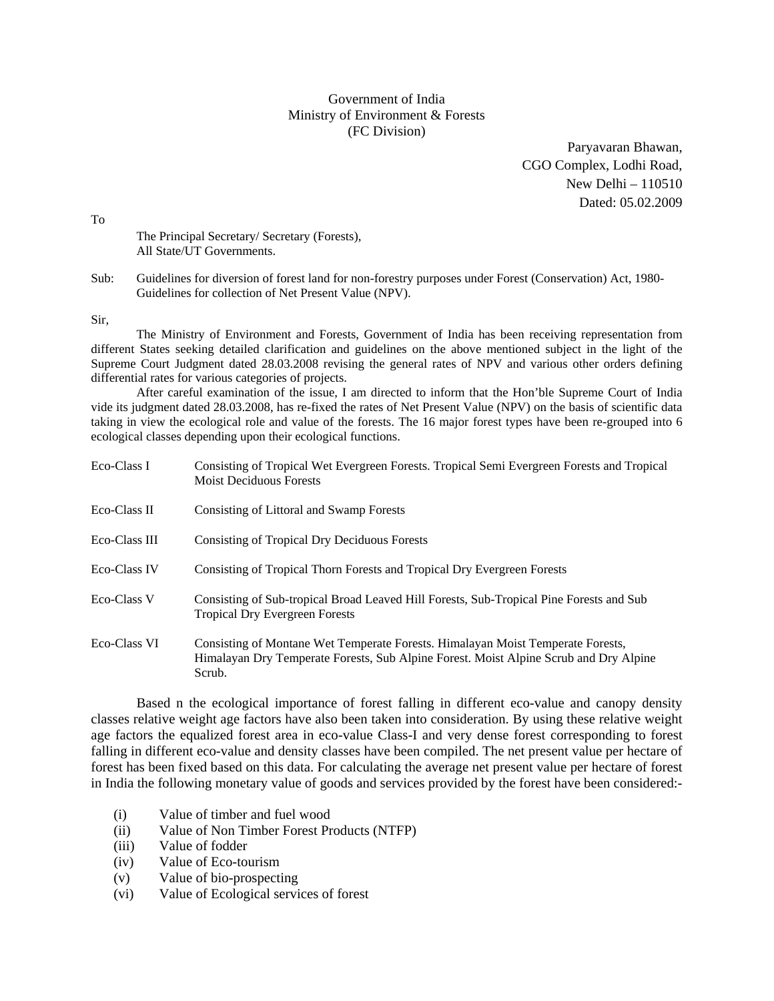## Government of India Ministry of Environment & Forests (FC Division)

Paryavaran Bhawan, CGO Complex, Lodhi Road, New Delhi – 110510 Dated: 05.02.2009

To

 The Principal Secretary/ Secretary (Forests), All State/UT Governments.

Sub: Guidelines for diversion of forest land for non-forestry purposes under Forest (Conservation) Act, 1980- Guidelines for collection of Net Present Value (NPV).

Sir,

The Ministry of Environment and Forests, Government of India has been receiving representation from different States seeking detailed clarification and guidelines on the above mentioned subject in the light of the Supreme Court Judgment dated 28.03.2008 revising the general rates of NPV and various other orders defining differential rates for various categories of projects.

After careful examination of the issue, I am directed to inform that the Hon'ble Supreme Court of India vide its judgment dated 28.03.2008, has re-fixed the rates of Net Present Value (NPV) on the basis of scientific data taking in view the ecological role and value of the forests. The 16 major forest types have been re-grouped into 6 ecological classes depending upon their ecological functions.

| Eco-Class I         | Consisting of Tropical Wet Evergreen Forests. Tropical Semi Evergreen Forests and Tropical<br><b>Moist Deciduous Forests</b>                                                       |
|---------------------|------------------------------------------------------------------------------------------------------------------------------------------------------------------------------------|
| Eco-Class II        | Consisting of Littoral and Swamp Forests                                                                                                                                           |
| Eco-Class III       | <b>Consisting of Tropical Dry Deciduous Forests</b>                                                                                                                                |
| <b>Eco-Class IV</b> | Consisting of Tropical Thorn Forests and Tropical Dry Evergreen Forests                                                                                                            |
| Eco-Class V         | Consisting of Sub-tropical Broad Leaved Hill Forests, Sub-Tropical Pine Forests and Sub<br><b>Tropical Dry Evergreen Forests</b>                                                   |
| Eco-Class VI        | Consisting of Montane Wet Temperate Forests. Himalayan Moist Temperate Forests,<br>Himalayan Dry Temperate Forests, Sub Alpine Forest. Moist Alpine Scrub and Dry Alpine<br>Scrub. |

Based n the ecological importance of forest falling in different eco-value and canopy density classes relative weight age factors have also been taken into consideration. By using these relative weight age factors the equalized forest area in eco-value Class-I and very dense forest corresponding to forest falling in different eco-value and density classes have been compiled. The net present value per hectare of forest has been fixed based on this data. For calculating the average net present value per hectare of forest in India the following monetary value of goods and services provided by the forest have been considered:-

- (i) Value of timber and fuel wood
- (ii) Value of Non Timber Forest Products (NTFP)
- (iii) Value of fodder
- (iv) Value of Eco-tourism
- (v) Value of bio-prospecting
- (vi) Value of Ecological services of forest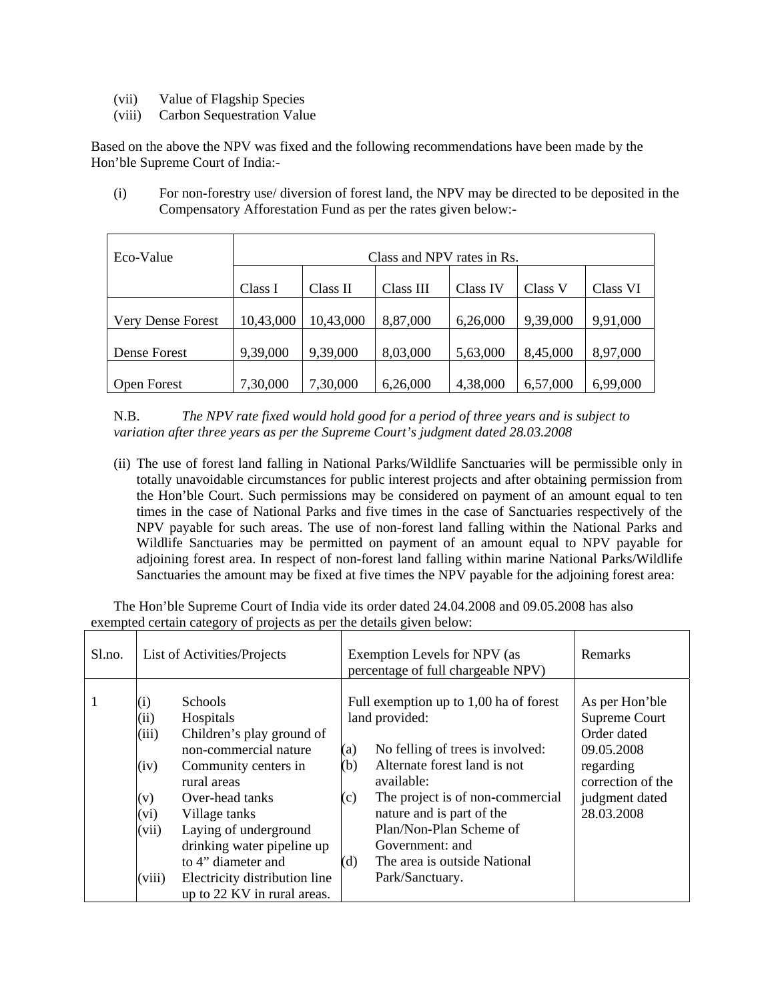- (vii) Value of Flagship Species
- (viii) Carbon Sequestration Value

Based on the above the NPV was fixed and the following recommendations have been made by the Hon'ble Supreme Court of India:-

(i) For non-forestry use/ diversion of forest land, the NPV may be directed to be deposited in the Compensatory Afforestation Fund as per the rates given below:-

| Eco-Value                | Class and NPV rates in Rs. |           |           |          |          |          |  |
|--------------------------|----------------------------|-----------|-----------|----------|----------|----------|--|
|                          | Class I                    | Class II  | Class III | Class IV | Class V  | Class VI |  |
| <b>Very Dense Forest</b> | 10,43,000                  | 10,43,000 | 8,87,000  | 6,26,000 | 9,39,000 | 9,91,000 |  |
| Dense Forest             | 9,39,000                   | 9,39,000  | 8,03,000  | 5,63,000 | 8,45,000 | 8,97,000 |  |
| <b>Open Forest</b>       | 7,30,000                   | 7,30,000  | 6,26,000  | 4,38,000 | 6,57,000 | 6,99,000 |  |

N.B. *The NPV rate fixed would hold good for a period of three years and is subject to variation after three years as per the Supreme Court's judgment dated 28.03.2008* 

(ii) The use of forest land falling in National Parks/Wildlife Sanctuaries will be permissible only in totally unavoidable circumstances for public interest projects and after obtaining permission from the Hon'ble Court. Such permissions may be considered on payment of an amount equal to ten times in the case of National Parks and five times in the case of Sanctuaries respectively of the NPV payable for such areas. The use of non-forest land falling within the National Parks and Wildlife Sanctuaries may be permitted on payment of an amount equal to NPV payable for adjoining forest area. In respect of non-forest land falling within marine National Parks/Wildlife Sanctuaries the amount may be fixed at five times the NPV payable for the adjoining forest area:

The Hon'ble Supreme Court of India vide its order dated 24.04.2008 and 09.05.2008 has also exempted certain category of projects as per the details given below:

| List of Activities/Projects<br>Sl.no.<br>Exemption Levels for NPV (as<br>percentage of full chargeable NPV)                                                                                                                                                                                                                                                                                                                                                                                                                                                                                                                                                                                                                                    |                                                                                                                   |  |
|------------------------------------------------------------------------------------------------------------------------------------------------------------------------------------------------------------------------------------------------------------------------------------------------------------------------------------------------------------------------------------------------------------------------------------------------------------------------------------------------------------------------------------------------------------------------------------------------------------------------------------------------------------------------------------------------------------------------------------------------|-------------------------------------------------------------------------------------------------------------------|--|
|                                                                                                                                                                                                                                                                                                                                                                                                                                                                                                                                                                                                                                                                                                                                                | Remarks                                                                                                           |  |
| <b>Schools</b><br>Full exemption up to 1,00 ha of forest<br>1<br>$\rm(i)$<br>land provided:<br>Hospitals<br>(ii)<br>(iii)<br>Children's play ground of<br>non-commercial nature<br>(a)<br>No felling of trees is involved:<br>Alternate forest land is not<br>(b)<br>(iv)<br>Community centers in<br>regarding<br>rural areas<br>available:<br>The project is of non-commercial<br>Over-head tanks<br>(c)<br>(v)<br>nature and is part of the<br>(vi)<br>Village tanks<br>Plan/Non-Plan Scheme of<br>(vii)<br>Laying of underground<br>drinking water pipeline up<br>Government: and<br>The area is outside National<br>to 4" diameter and<br>(d)<br>(viii)<br>Park/Sanctuary.<br>Electricity distribution line<br>up to 22 KV in rural areas. | As per Hon'ble<br>Supreme Court<br>Order dated<br>09.05.2008<br>correction of the<br>judgment dated<br>28.03.2008 |  |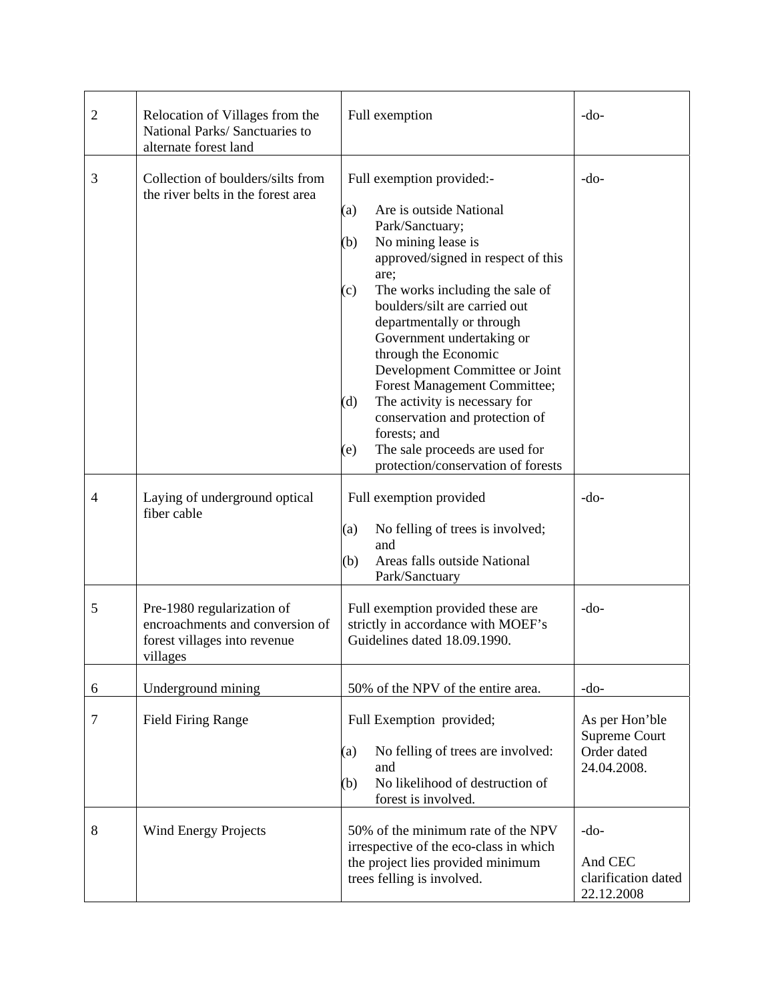| $\mathfrak{2}$ | Relocation of Villages from the<br>National Parks/Sanctuaries to<br>alternate forest land                 | Full exemption                                                                                                                                                                                                                                                                                                                                                                                                                                                                                                                                                    | $-do-$                                                        |
|----------------|-----------------------------------------------------------------------------------------------------------|-------------------------------------------------------------------------------------------------------------------------------------------------------------------------------------------------------------------------------------------------------------------------------------------------------------------------------------------------------------------------------------------------------------------------------------------------------------------------------------------------------------------------------------------------------------------|---------------------------------------------------------------|
| 3              | Collection of boulders/silts from<br>the river belts in the forest area                                   | Full exemption provided:-<br>Are is outside National<br>(a)<br>Park/Sanctuary;<br>No mining lease is<br>(b)<br>approved/signed in respect of this<br>are;<br>The works including the sale of<br>(c)<br>boulders/silt are carried out<br>departmentally or through<br>Government undertaking or<br>through the Economic<br>Development Committee or Joint<br>Forest Management Committee;<br>The activity is necessary for<br>(d)<br>conservation and protection of<br>forests; and<br>The sale proceeds are used for<br>(e)<br>protection/conservation of forests | $-do-$                                                        |
| $\overline{4}$ | Laying of underground optical<br>fiber cable                                                              | Full exemption provided<br>(a)<br>No felling of trees is involved;<br>and<br>Areas falls outside National<br>(b)<br>Park/Sanctuary                                                                                                                                                                                                                                                                                                                                                                                                                                | $-do-$                                                        |
| 5              | Pre-1980 regularization of<br>encroachments and conversion of<br>forest villages into revenue<br>villages | Full exemption provided these are<br>strictly in accordance with MOEF's<br>Guidelines dated 18.09.1990.                                                                                                                                                                                                                                                                                                                                                                                                                                                           | $-do-$                                                        |
| 6              | Underground mining                                                                                        | 50% of the NPV of the entire area.                                                                                                                                                                                                                                                                                                                                                                                                                                                                                                                                | $-do-$                                                        |
| $\tau$         | <b>Field Firing Range</b>                                                                                 | Full Exemption provided;<br>No felling of trees are involved:<br>(a)<br>and<br>No likelihood of destruction of<br>(b)<br>forest is involved.                                                                                                                                                                                                                                                                                                                                                                                                                      | As per Hon'ble<br>Supreme Court<br>Order dated<br>24.04.2008. |
| 8              | <b>Wind Energy Projects</b>                                                                               | 50% of the minimum rate of the NPV<br>irrespective of the eco-class in which<br>the project lies provided minimum<br>trees felling is involved.                                                                                                                                                                                                                                                                                                                                                                                                                   | $-do-$<br>And CEC<br>clarification dated<br>22.12.2008        |